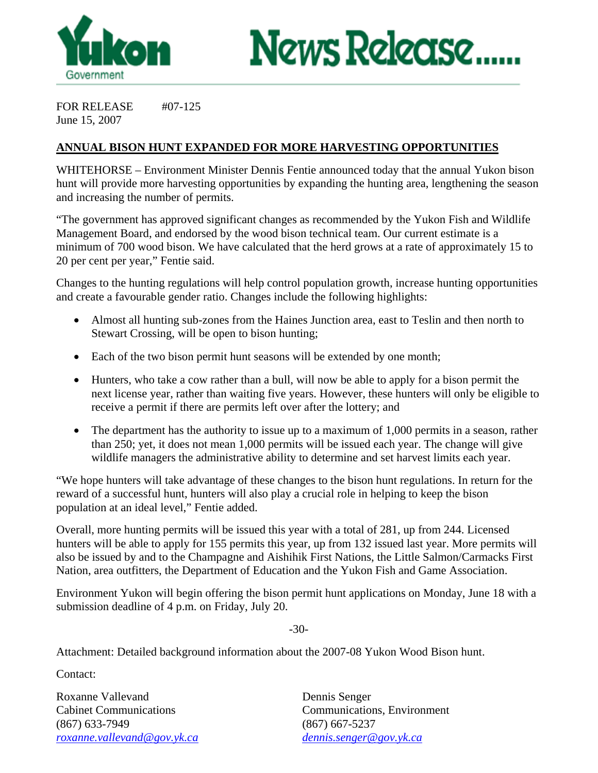



FOR RELEASE #07-125 June 15, 2007

## **ANNUAL BISON HUNT EXPANDED FOR MORE HARVESTING OPPORTUNITIES**

WHITEHORSE – Environment Minister Dennis Fentie announced today that the annual Yukon bison hunt will provide more harvesting opportunities by expanding the hunting area, lengthening the season and increasing the number of permits.

"The government has approved significant changes as recommended by the Yukon Fish and Wildlife Management Board, and endorsed by the wood bison technical team. Our current estimate is a minimum of 700 wood bison. We have calculated that the herd grows at a rate of approximately 15 to 20 per cent per year," Fentie said.

Changes to the hunting regulations will help control population growth, increase hunting opportunities and create a favourable gender ratio. Changes include the following highlights:

- Almost all hunting sub-zones from the Haines Junction area, east to Teslin and then north to Stewart Crossing, will be open to bison hunting;
- Each of the two bison permit hunt seasons will be extended by one month;
- Hunters, who take a cow rather than a bull, will now be able to apply for a bison permit the next license year, rather than waiting five years. However, these hunters will only be eligible to receive a permit if there are permits left over after the lottery; and
- The department has the authority to issue up to a maximum of 1,000 permits in a season, rather than 250; yet, it does not mean 1,000 permits will be issued each year. The change will give wildlife managers the administrative ability to determine and set harvest limits each year.

"We hope hunters will take advantage of these changes to the bison hunt regulations. In return for the reward of a successful hunt, hunters will also play a crucial role in helping to keep the bison population at an ideal level," Fentie added.

Overall, more hunting permits will be issued this year with a total of 281, up from 244. Licensed hunters will be able to apply for 155 permits this year, up from 132 issued last year. More permits will also be issued by and to the Champagne and Aishihik First Nations, the Little Salmon/Carmacks First Nation, area outfitters, the Department of Education and the Yukon Fish and Game Association.

Environment Yukon will begin offering the bison permit hunt applications on Monday, June 18 with a submission deadline of 4 p.m. on Friday, July 20.

-30-

Attachment: Detailed background information about the 2007-08 Yukon Wood Bison hunt.

Contact:

Roxanne Vallevand Dennis Senger (867) 633-7949 (867) 667-5237 *roxanne.vallevand@gov.yk.ca dennis.senger@gov.yk.ca*

Cabinet Communications Communications, Environment